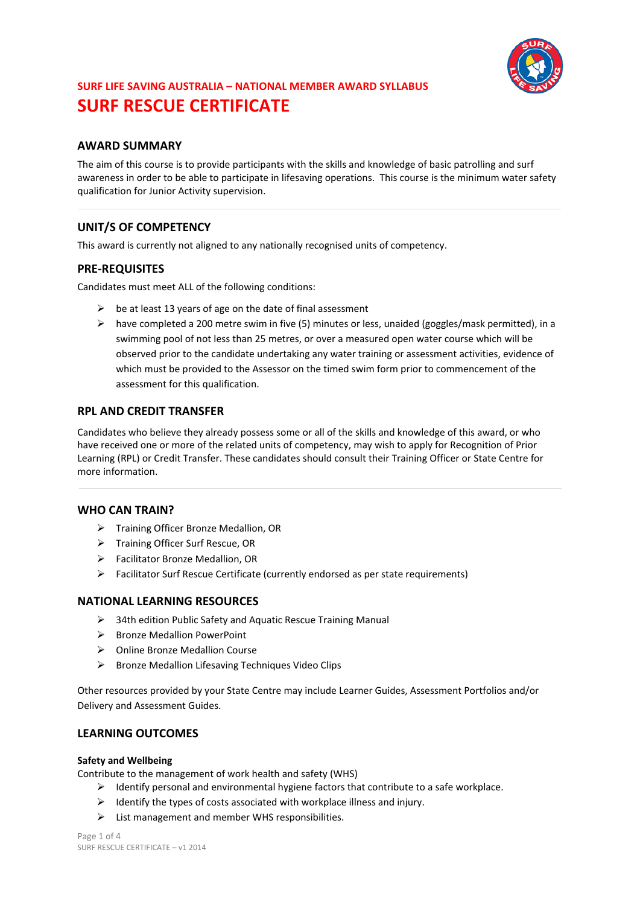

# **AWARD SUMMARY**

The aim of this course is to provide participants with the skills and knowledge of basic patrolling and surf awareness in order to be able to participate in lifesaving operations. This course is the minimum water safety qualification for Junior Activity supervision.

# **UNIT/S OF COMPETENCY**

This award is currently not aligned to any nationally recognised units of competency.

# **PRE-REQUISITES**

Candidates must meet ALL of the following conditions:

- $\triangleright$  be at least 13 years of age on the date of final assessment
- $\triangleright$  have completed a 200 metre swim in five (5) minutes or less, unaided (goggles/mask permitted), in a swimming pool of not less than 25 metres, or over a measured open water course which will be observed prior to the candidate undertaking any water training or assessment activities, evidence of which must be provided to the Assessor on the timed swim form prior to commencement of the assessment for this qualification.

## **RPL AND CREDIT TRANSFER**

Candidates who believe they already possess some or all of the skills and knowledge of this award, or who have received one or more of the related units of competency, may wish to apply for Recognition of Prior Learning (RPL) or Credit Transfer. These candidates should consult their Training Officer or State Centre for more information.

# **WHO CAN TRAIN?**

- > Training Officer Bronze Medallion, OR
- > Training Officer Surf Rescue, OR
- Facilitator Bronze Medallion, OR
- $\triangleright$  Facilitator Surf Rescue Certificate (currently endorsed as per state requirements)

## **NATIONAL LEARNING RESOURCES**

- $\geq$  34th edition Public Safety and Aquatic Rescue Training Manual
- $\triangleright$  Bronze Medallion PowerPoint
- Online Bronze Medallion Course
- $\triangleright$  Bronze Medallion Lifesaving Techniques Video Clips

Other resources provided by your State Centre may include Learner Guides, Assessment Portfolios and/or Delivery and Assessment Guides.

## **LEARNING OUTCOMES**

## **Safety and Wellbeing**

Contribute to the management of work health and safety (WHS)

- $\triangleright$  Identify personal and environmental hygiene factors that contribute to a safe workplace.
- $\triangleright$  Identify the types of costs associated with workplace illness and injury.
- $\triangleright$  List management and member WHS responsibilities.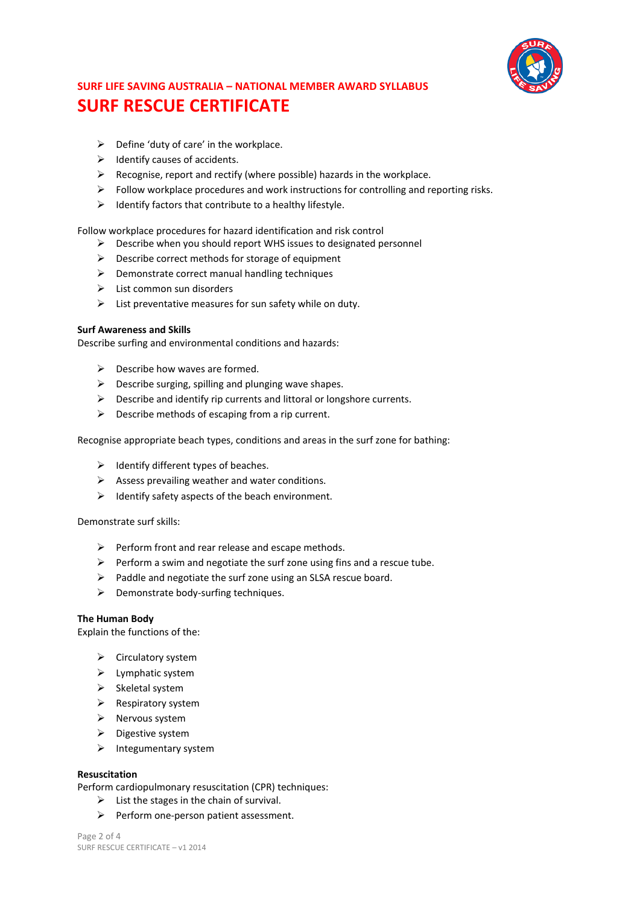

- $\triangleright$  Define 'duty of care' in the workplace.
- $\triangleright$  Identify causes of accidents.
- $\triangleright$  Recognise, report and rectify (where possible) hazards in the workplace.
- $\triangleright$  Follow workplace procedures and work instructions for controlling and reporting risks.
- $\triangleright$  Identify factors that contribute to a healthy lifestyle.

Follow workplace procedures for hazard identification and risk control

- $\triangleright$  Describe when you should report WHS issues to designated personnel
- $\triangleright$  Describe correct methods for storage of equipment
- $\triangleright$  Demonstrate correct manual handling techniques
- $\triangleright$  List common sun disorders
- $\triangleright$  List preventative measures for sun safety while on duty.

#### **Surf Awareness and Skills**

Describe surfing and environmental conditions and hazards:

- $\triangleright$  Describe how waves are formed.
- $\triangleright$  Describe surging, spilling and plunging wave shapes.
- $\triangleright$  Describe and identify rip currents and littoral or longshore currents.
- $\triangleright$  Describe methods of escaping from a rip current.

Recognise appropriate beach types, conditions and areas in the surf zone for bathing:

- $\triangleright$  Identify different types of beaches.
- $\triangleright$  Assess prevailing weather and water conditions.
- $\triangleright$  Identify safety aspects of the beach environment.

Demonstrate surf skills:

- $\triangleright$  Perform front and rear release and escape methods.
- $\triangleright$  Perform a swim and negotiate the surf zone using fins and a rescue tube.
- $\triangleright$  Paddle and negotiate the surf zone using an SLSA rescue board.
- $\triangleright$  Demonstrate body-surfing techniques.

## **The Human Body**

Explain the functions of the:

- $\triangleright$  Circulatory system
- $\blacktriangleright$  Lymphatic system
- $\triangleright$  Skeletal system
- $\triangleright$  Respiratory system
- $\triangleright$  Nervous system
- $\triangleright$  Digestive system
- $\triangleright$  Integumentary system

#### **Resuscitation**

Perform cardiopulmonary resuscitation (CPR) techniques:

- $\triangleright$  List the stages in the chain of survival.
- $\triangleright$  Perform one-person patient assessment.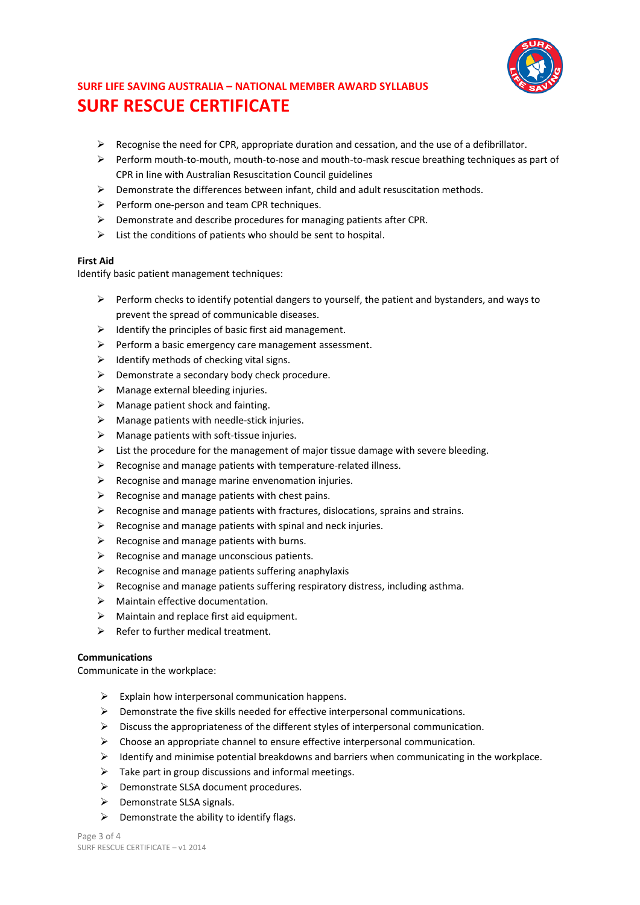

- $\triangleright$  Recognise the need for CPR, appropriate duration and cessation, and the use of a defibrillator.
- $\triangleright$  Perform mouth-to-mouth, mouth-to-nose and mouth-to-mask rescue breathing techniques as part of CPR in line with Australian Resuscitation Council guidelines
- $\triangleright$  Demonstrate the differences between infant, child and adult resuscitation methods.
- $\triangleright$  Perform one-person and team CPR techniques.
- $\triangleright$  Demonstrate and describe procedures for managing patients after CPR.
- $\triangleright$  List the conditions of patients who should be sent to hospital.

## **First Aid**

Identify basic patient management techniques:

- $\triangleright$  Perform checks to identify potential dangers to yourself, the patient and bystanders, and ways to prevent the spread of communicable diseases.
- $\triangleright$  Identify the principles of basic first aid management.
- $\triangleright$  Perform a basic emergency care management assessment.
- $\triangleright$  Identify methods of checking vital signs.
- $\triangleright$  Demonstrate a secondary body check procedure.
- $\triangleright$  Manage external bleeding injuries.
- $\triangleright$  Manage patient shock and fainting.
- $\triangleright$  Manage patients with needle-stick injuries.
- $\triangleright$  Manage patients with soft-tissue injuries.
- $\triangleright$  List the procedure for the management of major tissue damage with severe bleeding.
- $\triangleright$  Recognise and manage patients with temperature-related illness.
- $\triangleright$  Recognise and manage marine envenomation injuries.
- $\triangleright$  Recognise and manage patients with chest pains.
- $\triangleright$  Recognise and manage patients with fractures, dislocations, sprains and strains.
- $\triangleright$  Recognise and manage patients with spinal and neck injuries.
- $\triangleright$  Recognise and manage patients with burns.
- $\triangleright$  Recognise and manage unconscious patients.
- $\triangleright$  Recognise and manage patients suffering anaphylaxis
- $\triangleright$  Recognise and manage patients suffering respiratory distress, including asthma.
- $\triangleright$  Maintain effective documentation.
- $\triangleright$  Maintain and replace first aid equipment.
- $\triangleright$  Refer to further medical treatment.

## **Communications**

Communicate in the workplace:

- $\triangleright$  Explain how interpersonal communication happens.
- $\triangleright$  Demonstrate the five skills needed for effective interpersonal communications.
- $\triangleright$  Discuss the appropriateness of the different styles of interpersonal communication.
- $\triangleright$  Choose an appropriate channel to ensure effective interpersonal communication.
- $\triangleright$  Identify and minimise potential breakdowns and barriers when communicating in the workplace.
- $\triangleright$  Take part in group discussions and informal meetings.
- ▶ Demonstrate SLSA document procedures.
- $\triangleright$  Demonstrate SLSA signals.
- $\triangleright$  Demonstrate the ability to identify flags.